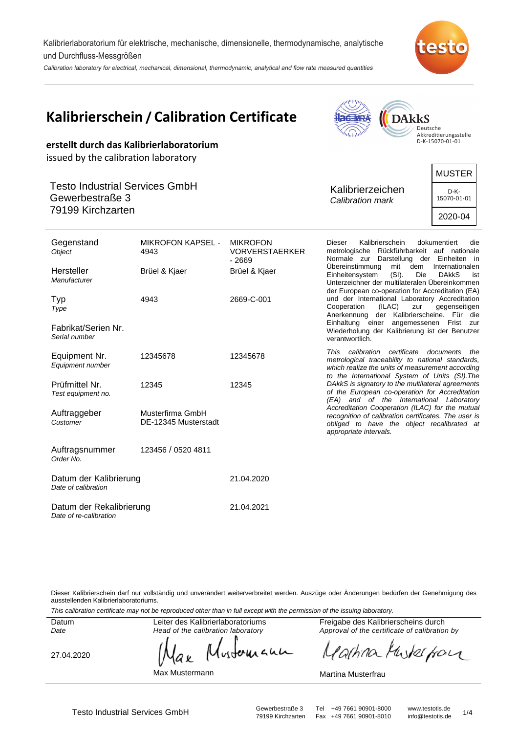Kalibrierlaboratorium für elektrische, mechanische, dimensionelle, thermodynamische, analytische und Durchfluss-Messgrößen

Calibration laboratory for electrical, mechanical, dimensional, thermodynamic, analytical and flow rate measured quantities



**Replated Many** 

 $\sqrt{2}$ 

| erstellt durch das Kalibrierlaboratorium                                                                              | <b>Kalibrierschein / Calibration Certificate</b> | <b>DARKS</b><br><b>ac-MRA</b><br>Deutsche<br>$\eta_{\rm d}$<br>Akkreditierungsstelle<br>D-K-15070-01-01 |                                                                                                                                                                                                                                                              |
|-----------------------------------------------------------------------------------------------------------------------|--------------------------------------------------|---------------------------------------------------------------------------------------------------------|--------------------------------------------------------------------------------------------------------------------------------------------------------------------------------------------------------------------------------------------------------------|
| issued by the calibration laboratory<br><b>Testo Industrial Services GmbH</b><br>Gewerbestraße 3<br>79199 Kirchzarten |                                                  | <b>MUSTER</b><br>Kalibrierzeichen<br>D-K-<br>15070-01-01<br>Calibration mark<br>2020-04                 |                                                                                                                                                                                                                                                              |
| Gegenstand<br>Object                                                                                                  | <b>MIKROFON KAPSEL -</b><br>4943                 | <b>MIKROFON</b><br><b>VORVERSTAERKER</b><br>$-2669$                                                     | <b>Dieser</b><br>Kalibrierschein<br>dokumentiert<br>die<br>metrologische Rückführbarkeit auf nationale<br>Normale zur Darstellung der Einheiten in                                                                                                           |
| Hersteller<br>Manufacturer                                                                                            | Brüel & Kjaer                                    | Brüel & Kjaer                                                                                           | Übereinstimmung<br>mit dem Internationalen<br>Einheitensystem<br>(SI).<br><b>DAKKS</b><br>Die<br>ist<br>Unterzeichner der multilateralen Übereinkommen<br>der European co-operation for Accreditation (EA)                                                   |
| Typ<br>Type<br>Fabrikat/Serien Nr.<br>Serial number                                                                   | 4943                                             | 2669-C-001                                                                                              | und der International Laboratory Accreditation<br>Cooperation<br>(ILAC)<br>gegenseitigen<br>zur<br>Anerkennung der Kalibrierscheine. Für die<br>Einhaltung einer angemessenen Frist zur<br>Wiederholung der Kalibrierung ist der Benutzer<br>verantwortlich. |
| Equipment Nr.<br>Equipment number                                                                                     | 12345678                                         | 12345678                                                                                                | This calibration certificate<br>documents<br>the<br>metrological traceability to national standards,<br>which realize the units of measurement according<br>to the International System of Units (SI). The                                                   |
| Prüfmittel Nr.<br>Test equipment no.                                                                                  | 12345                                            | 12345                                                                                                   | DAkkS is signatory to the multilateral agreements<br>of the European co-operation for Accreditation<br>(EA) and of the International Laboratory                                                                                                              |
| Auftraggeber<br>Customer                                                                                              | Musterfirma GmbH<br>DE-12345 Musterstadt         |                                                                                                         | Accreditation Cooperation (ILAC) for the mutual<br>recognition of calibration certificates. The user is<br>obliged to have the object recalibrated at<br>appropriate intervals.                                                                              |
| Auftragsnummer<br>Order No.                                                                                           | 123456 / 0520 4811                               |                                                                                                         |                                                                                                                                                                                                                                                              |
| Datum der Kalibrierung<br>Date of calibration                                                                         |                                                  | 21.04.2020                                                                                              |                                                                                                                                                                                                                                                              |
| Datum der Rekalibrierung<br>Date of re-calibration                                                                    |                                                  | 21.04.2021                                                                                              |                                                                                                                                                                                                                                                              |

Dieser Kalibrierschein darf nur vollständig und unverändert weiterverbreitet werden. Auszüge oder Änderungen bedürfen der Genehmigung des ausstellenden Kalibrierlaboratoriums.

This calibration certificate may not be reproduced other than in full except with the permission of the issuing laboratory.

Datum Date

Head of the calibration laboratory

27.04.2020

wounann ax

Max Mustermann

Freigabe des Kalibrierscheins durch Approval of the certificate of calibration by

artina Muterfan  $\mu$ 

#### Martina Musterfrau

Testo Industrial Services GmbH<br>79199 Kirchzarten Fax +49 7661 90901-8010 info@testotis.de 1/4 Fax +49 7661 90901-8010

Leiter des Kalibrierlaboratoriums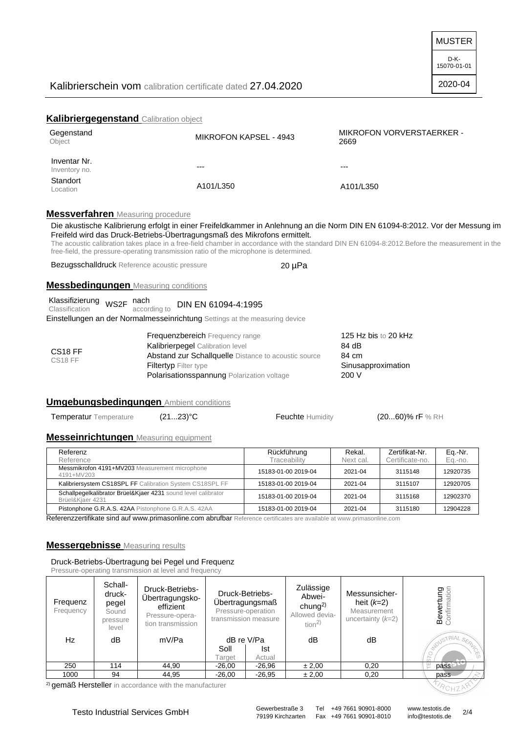MUSTER

# Kalibrierschein vom calibration certificate dated 27.04.2020

2020-04

# **Kalibriergegenstand** Calibration object

| Gegenstand<br>Object          | MIKROFON KAPSEL - 4943 | <b>MIKROFON VORVERSTAERKER -</b><br>2669 |
|-------------------------------|------------------------|------------------------------------------|
| Inventar Nr.<br>Inventory no. | ---                    | $--$                                     |
| Standort<br>Location          | A101/L350              | A101/L350                                |

# **Messverfahren** Measuring procedure

Die akustische Kalibrierung erfolgt in einer Freifeldkammer in Anlehnung an die Norm DIN EN 61094-8:2012. Vor der Messung im Freifeld wird das Druck-Betriebs-Übertragungsmaß des Mikrofons ermittelt.

The acoustic calibration takes place in a free-field chamber in accordance with the standard DIN EN 61094-8:2012.Before the measurement in the free-field, the pressure-operating transmission ratio of the microphone is determined.

Bezugsschalldruck Reference acoustic pressure 20 uPa

### **Messbedingungen** Measuring conditions

| Klassifizierung <sub>WS2F</sub> nach |              | DIN EN 61094-4:1995 |
|--------------------------------------|--------------|---------------------|
| Classification                       | according to |                     |

Einstellungen an der Normalmesseinrichtung Settings at the measuring device

| CS <sub>18</sub> FF<br>CS <sub>18</sub> FF | <b>Frequenzbereich</b> Frequency range                      | 125 Hz bis to 20 kHz |
|--------------------------------------------|-------------------------------------------------------------|----------------------|
|                                            | <b>Kalibrierpegel</b> Calibration level                     | 84 dB                |
|                                            | <b>Abstand zur Schallquelle</b> Distance to acoustic source | 84 cm                |
|                                            | <b>Filtertyp</b> Filter type                                | Sinusapproximation   |
|                                            | <b>Polarisationsspannung Polarization voltage</b>           | 200V                 |

# **Umgebungsbedingungen** Ambient conditions

Temperatur Temperature (21...23)<sup>°</sup>C Feuchte Humidity (20...60)% rF % RH

### **Messeinrichtungen** Measuring equipment

| Referenz<br>Reference                                                             | Rückführung<br>Traceability | Rekal.<br>Next cal. | Zertifikat-Nr.<br>Certificate-no. | Eq.-Nr.<br>Eq.-no. |
|-----------------------------------------------------------------------------------|-----------------------------|---------------------|-----------------------------------|--------------------|
| Messmikrofon 4191+MV203 Measurement microphone<br>4191+MV203                      | 15183-01-00 2019-04         | 2021-04             | 3115148                           | 12920735           |
| Kalibriersystem CS18SPL FF Calibration System CS18SPL FF                          | 15183-01-00 2019-04         | 2021-04             | 3115107                           | 12920705           |
| Schallpegelkalibrator Brüel&Kjaer 4231 sound level calibrator<br>Brüel&Kjaer 4231 | 15183-01-00 2019-04         | 2021-04             | 3115168                           | 12902370           |
| Pistonphone G.R.A.S. 42AA Pistonphone G.R.A.S. 42AA                               | 15183-01-00 2019-04         | 2021-04             | 3115180                           | 12904228           |

Referenzzertifikate sind auf www.primasonline.com abrufbar Reference certificates are available at www.primasonline.com

### **Messergebnisse** Measuring results

Druck-Betriebs-Übertragung bei Pegel und Frequenz Pressure-operating transmission at level and frequency

| Frequenz<br>Frequency | Schall-<br>druck-<br>pegel<br>Sound<br>pressure<br>level | <b>Druck-Betriebs-</b><br>Übertragungsko-<br>effizient<br>Pressure-opera-<br>tion transmission | <b>Druck-Betriebs-</b><br>Übertragungsmaß<br>Pressure-operation<br>transmission measure |          | Zulässige<br>Abwei-<br>chung <sup>2)</sup><br>Allowed devia-<br>tion <sup>2</sup> | Messunsicher-<br>heit $(k=2)$<br>Measurement<br>uncertainty $(k=2)$ | <b>ertung</b><br>Imation<br><b>Bew</b><br>Confi |
|-----------------------|----------------------------------------------------------|------------------------------------------------------------------------------------------------|-----------------------------------------------------------------------------------------|----------|-----------------------------------------------------------------------------------|---------------------------------------------------------------------|-------------------------------------------------|
| Hz                    | dB                                                       | mV/Pa                                                                                          | dB re V/Pa                                                                              |          | dB                                                                                | dB                                                                  | <b>ROUSTRIA</b>                                 |
|                       |                                                          |                                                                                                | Soll                                                                                    | Ist      |                                                                                   |                                                                     | I. SERVICA                                      |
|                       |                                                          |                                                                                                | Target                                                                                  | Actual   |                                                                                   |                                                                     |                                                 |
| 250                   | 114                                                      | 44,90                                                                                          | $-26,00$                                                                                | $-26,96$ | ± 2,00                                                                            | 0,20                                                                | pass                                            |
| 1000                  | 94                                                       | 44,95                                                                                          | $-26,00$                                                                                | $-26.95$ | ± 2,00                                                                            | 0,20                                                                | pass                                            |

<sup>2)</sup> gemäß Hersteller in accordance with the manufacturer

Fax +49 7661 90901-8010

ROHZP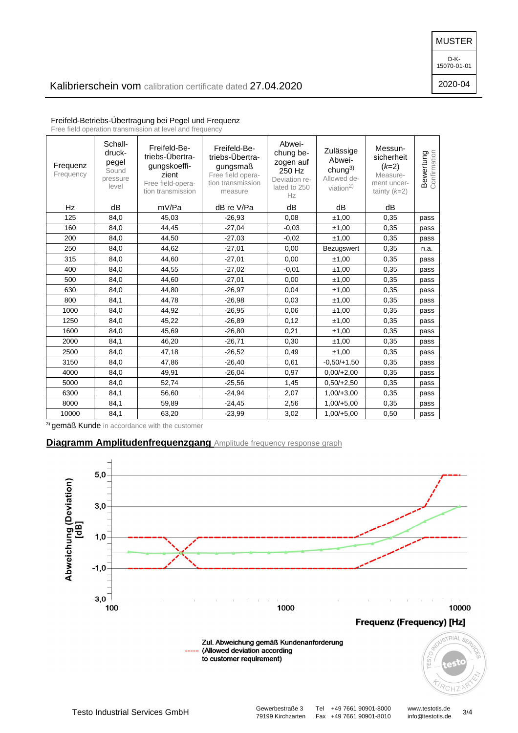MUSTER

D-K-15070-01-01

2020-04

| Frequenz<br>Frequency | Schall-<br>druck-<br>pegel<br>Sound<br>pressure<br>level | Freifeld-Be-<br>triebs-Übertra-<br>gungskoeffi-<br>zient<br>Free field-opera-<br>tion transmission | Freifeld-Be-<br>triebs-Übertra-<br>gungsmaß<br>Free field opera-<br>tion transmission<br>measure | Abwei-<br>chung be-<br>zogen auf<br>250 Hz<br>Deviation re-<br>lated to 250<br>Hz | Zulässige<br>Abwei-<br>chung $3)$<br>Allowed de-<br>viation $^{2)}$ | Messun-<br>sicherheit<br>$(k=2)$<br>Measure-<br>ment uncer-<br>tainty $(k=2)$ | <b>Bewertung</b><br>Confirmation |
|-----------------------|----------------------------------------------------------|----------------------------------------------------------------------------------------------------|--------------------------------------------------------------------------------------------------|-----------------------------------------------------------------------------------|---------------------------------------------------------------------|-------------------------------------------------------------------------------|----------------------------------|
| Hz                    | dB                                                       | mV/Pa                                                                                              | dB re V/Pa                                                                                       | dB                                                                                | dB                                                                  | dB                                                                            |                                  |
| 125                   | 84,0                                                     | 45,03                                                                                              | $-26,93$                                                                                         | 0,08                                                                              | ±1,00                                                               | 0,35                                                                          | pass                             |
| 160                   | 84,0                                                     | 44,45                                                                                              | $-27,04$                                                                                         | $-0.03$                                                                           | ±1,00                                                               | 0,35                                                                          | pass                             |
| 200                   | 84,0                                                     | 44,50                                                                                              | $-27,03$                                                                                         | $-0.02$                                                                           | ±1,00                                                               | 0,35                                                                          | pass                             |
| 250                   | 84,0                                                     | 44,62                                                                                              | $-27,01$                                                                                         | 0,00                                                                              | Bezugswert                                                          | 0,35                                                                          | n.a.                             |
| 315                   | 84,0                                                     | 44,60                                                                                              | $-27,01$                                                                                         | 0,00                                                                              | ±1,00                                                               | 0,35                                                                          | pass                             |
| 400                   | 84,0                                                     | 44,55                                                                                              | $-27,02$                                                                                         | $-0.01$                                                                           | ±1,00                                                               | 0,35                                                                          | pass                             |
| 500                   | 84,0                                                     | 44,60                                                                                              | $-27,01$                                                                                         | 0,00                                                                              | ±1,00                                                               | 0,35                                                                          | pass                             |
| 630                   | 84,0                                                     | 44,80                                                                                              | $-26,97$                                                                                         | 0,04                                                                              | ±1,00                                                               | 0,35                                                                          | pass                             |
| 800                   | 84,1                                                     | 44,78                                                                                              | $-26,98$                                                                                         | 0,03                                                                              | ±1,00                                                               | 0,35                                                                          | pass                             |
| 1000                  | 84,0                                                     | 44,92                                                                                              | $-26,95$                                                                                         | 0,06                                                                              | ±1,00                                                               | 0,35                                                                          | pass                             |
| 1250                  | 84,0                                                     | 45,22                                                                                              | $-26,89$                                                                                         | 0,12                                                                              | ±1,00                                                               | 0,35                                                                          | pass                             |
| 1600                  | 84,0                                                     | 45,69                                                                                              | $-26,80$                                                                                         | 0,21                                                                              | ±1,00                                                               | 0,35                                                                          | pass                             |
| 2000                  | 84,1                                                     | 46,20                                                                                              | $-26,71$                                                                                         | 0,30                                                                              | ±1,00                                                               | 0,35                                                                          | pass                             |
| 2500                  | 84,0                                                     | 47,18                                                                                              | $-26,52$                                                                                         | 0,49                                                                              | ±1,00                                                               | 0,35                                                                          | pass                             |
| 3150                  | 84,0                                                     | 47,86                                                                                              | $-26,40$                                                                                         | 0,61                                                                              | $-0.50/+1.50$                                                       | 0,35                                                                          | pass                             |
| 4000                  | 84,0                                                     | 49,91                                                                                              | $-26,04$                                                                                         | 0,97                                                                              | $0.00/+2.00$                                                        | 0,35                                                                          | pass                             |
| 5000                  | 84,0                                                     | 52,74                                                                                              | $-25,56$                                                                                         | 1,45                                                                              | $0.50/+2.50$                                                        | 0,35                                                                          | pass                             |
| 6300                  | 84,1                                                     | 56,60                                                                                              | $-24,94$                                                                                         | 2,07                                                                              | $1,00/+3,00$                                                        | 0,35                                                                          | pass                             |
| 8000                  | 84,1                                                     | 59,89                                                                                              | $-24,45$                                                                                         | 2,56                                                                              | $1,00/+5,00$                                                        | 0,35                                                                          | pass                             |
| 10000                 | 84,1                                                     | 63,20                                                                                              | $-23,99$                                                                                         | 3,02                                                                              | $1,00/+5,00$                                                        | 0,50                                                                          | pass                             |

Freifeld-Betriebs-Übertragung bei Pegel und Frequenz

Free field operation transmission at level and frequency

3) gemäß Kunde in accordance with the customer

# **Diagramm Amplitudenfrequenzgang** Amplitude frequency response graph